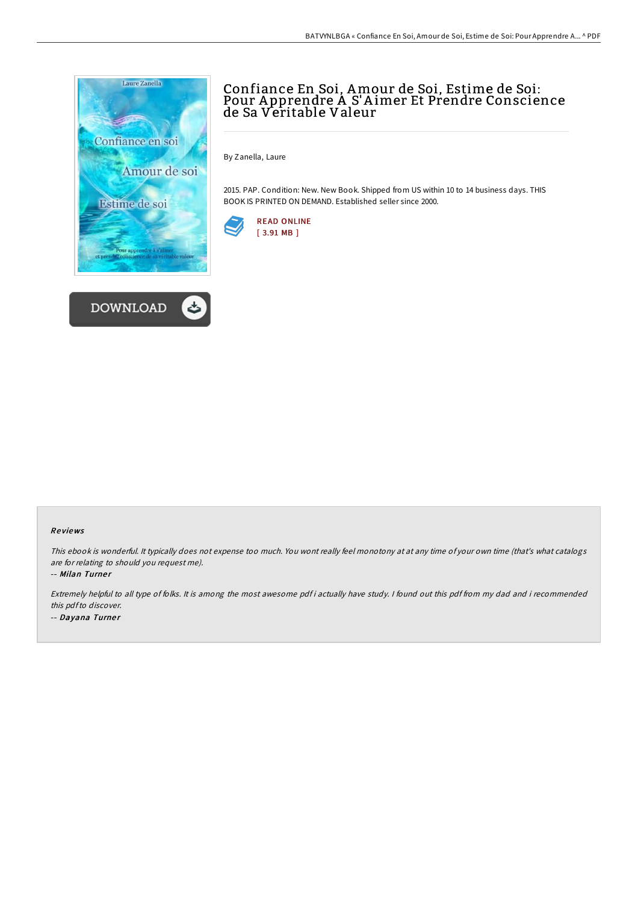



# Confiance En Soi, Amour de Soi, Estime de Soi: Pour A pprendre A S'A imer Et Prendre Conscience de Sa Veritable Valeur

By Zanella, Laure

2015. PAP. Condition: New. New Book. Shipped from US within 10 to 14 business days. THIS BOOK IS PRINTED ON DEMAND. Established seller since 2000.



## Re views

This ebook is wonderful. It typically does not expense too much. You wont really feel monotony at at any time of your own time (that's what catalogs are for relating to should you request me).

-- Milan Turner

Extremely helpful to all type of folks. It is among the most awesome pdf i actually have study. <sup>I</sup> found out this pdf from my dad and i recommended this pdfto discover. -- Dayana Turner